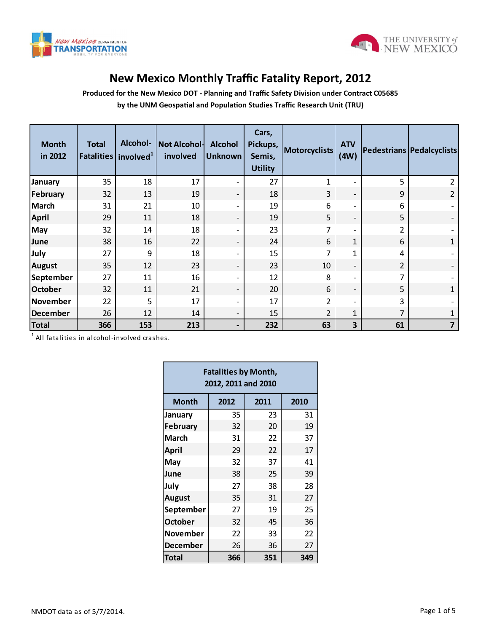



## **New Mexico Monthly Traffic Fatality Report, 2012**

**Produced for the New Mexico DOT - Planning and Traffic Safety Division under Contract C05685 by the UNM Geospatial and Population Studies Traffic Research Unit (TRU)**

| 35<br>32 | 18  |     |                                             | <b>Utility</b> |                                                    |                          |    |                          |
|----------|-----|-----|---------------------------------------------|----------------|----------------------------------------------------|--------------------------|----|--------------------------|
|          |     | 17  | $\overline{\phantom{a}}$                    | 27             | 1                                                  | $\overline{\phantom{a}}$ | 5  | $\overline{2}$           |
|          | 13  | 19  | $\overline{\phantom{a}}$                    | 18             | 3                                                  | $\overline{\phantom{a}}$ | 9  | $\overline{2}$           |
| 31       | 21  | 10  | $\overline{\phantom{a}}$                    | 19             | 6                                                  | $\overline{\phantom{a}}$ | 6  |                          |
| 29       | 11  | 18  | $\overline{\phantom{a}}$                    | 19             | 5                                                  | $\overline{\phantom{a}}$ | 5  |                          |
| 32       | 14  | 18  | $\overline{\phantom{0}}$                    | 23             | $\overline{7}$                                     | $\overline{\phantom{a}}$ | 2  |                          |
| 38       | 16  | 22  | $\overline{\phantom{a}}$                    | 24             | 6                                                  | 1                        | 6  | $\mathbf{1}$             |
| 27       | 9   | 18  | $\overline{\phantom{a}}$                    | 15             | 7                                                  | 1                        | 4  |                          |
| 35       | 12  | 23  | $\overline{\phantom{a}}$                    | 23             | 10                                                 | $\overline{\phantom{a}}$ | 2  | $\overline{\phantom{a}}$ |
| 27       | 11  | 16  | $\overline{\phantom{a}}$                    | 12             | 8                                                  | $\overline{\phantom{a}}$ | 7  |                          |
| 32       | 11  | 21  | $\overline{\phantom{a}}$                    | 20             | 6                                                  | $\overline{\phantom{a}}$ | 5  | 1                        |
| 22       | 5   | 17  | $\overline{\phantom{a}}$                    | 17             | $\overline{2}$                                     | $\overline{\phantom{a}}$ | 3  |                          |
| 26       | 12  | 14  | $\overline{\phantom{a}}$                    | 15             | $\overline{2}$                                     | $\mathbf{1}$             | 7  | $\mathbf{1}$             |
| 366      | 153 | 213 | $\overline{\phantom{a}}$                    | 232            | 63                                                 | $\overline{\mathbf{3}}$  | 61 | $\overline{7}$           |
|          |     |     |                                             |                |                                                    |                          |    |                          |
|          |     |     | All fatalities in alcohol-involved crashes. |                | <b>Fatalities by Month,</b><br>2012, 2011 and 2010 |                          |    |                          |

| <b>Fatalities by Month,</b><br>2012, 2011 and 2010 |      |      |      |  |  |  |  |  |  |  |
|----------------------------------------------------|------|------|------|--|--|--|--|--|--|--|
| Month                                              | 2012 | 2011 | 2010 |  |  |  |  |  |  |  |
| January                                            | 35   | 23   | 31   |  |  |  |  |  |  |  |
| <b>February</b>                                    | 32   | 20   | 19   |  |  |  |  |  |  |  |
| <b>March</b>                                       | 31   | 22   | 37   |  |  |  |  |  |  |  |
| <b>April</b>                                       | 29   | 22   | 17   |  |  |  |  |  |  |  |
| May                                                | 32   | 37   | 41   |  |  |  |  |  |  |  |
| June                                               | 38   | 25   | 39   |  |  |  |  |  |  |  |
| July                                               | 27   | 38   | 28   |  |  |  |  |  |  |  |
| <b>August</b>                                      | 35   | 31   | 27   |  |  |  |  |  |  |  |
| September                                          | 27   | 19   | 25   |  |  |  |  |  |  |  |
| <b>October</b>                                     | 32   | 45   | 36   |  |  |  |  |  |  |  |
| <b>November</b>                                    | 22   | 33   | 22   |  |  |  |  |  |  |  |
| December                                           | 26   | 36   | 27   |  |  |  |  |  |  |  |
| <b>Total</b>                                       | 366  | 351  | 349  |  |  |  |  |  |  |  |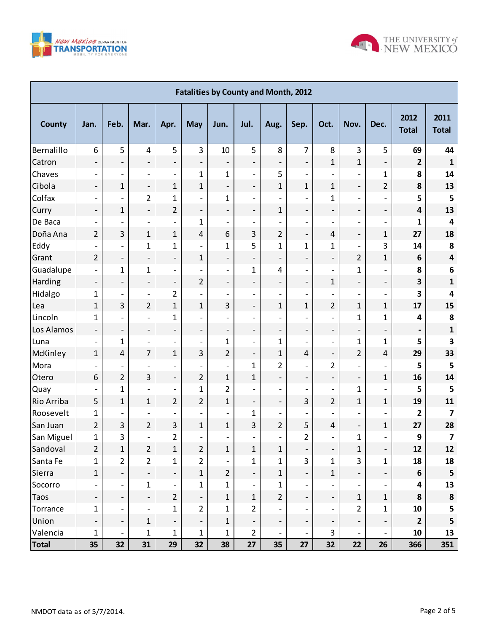



| <b>Fatalities by County and Month, 2012</b> |                          |                              |                              |                          |                          |                          |                          |                              |                              |                          |                          |                              |                          |                         |
|---------------------------------------------|--------------------------|------------------------------|------------------------------|--------------------------|--------------------------|--------------------------|--------------------------|------------------------------|------------------------------|--------------------------|--------------------------|------------------------------|--------------------------|-------------------------|
| <b>County</b>                               | Jan.                     | Feb.                         | Mar.                         | Apr.                     | <b>May</b>               | Jun.                     | Jul.                     | Aug.                         | Sep.                         | Oct.                     | Nov.                     | Dec.                         | 2012<br><b>Total</b>     | 2011<br><b>Total</b>    |
| Bernalillo                                  | 6                        | 5                            | $\overline{4}$               | 5                        | 3                        | 10                       | 5                        | 8                            | $\overline{7}$               | 8                        | 3                        | 5                            | 69                       | 44                      |
| Catron                                      | $\overline{a}$           | $\overline{\phantom{a}}$     | $\overline{\phantom{a}}$     | $\overline{\phantom{a}}$ | $\overline{\phantom{m}}$ | $\overline{\phantom{a}}$ | $\overline{\phantom{m}}$ | $\overline{\phantom{a}}$     | $\overline{\phantom{a}}$     | $\mathbf{1}$             | $\mathbf{1}$             | $\qquad \qquad -$            | $\mathbf{2}$             | $\mathbf{1}$            |
| Chaves                                      | $\overline{\phantom{0}}$ | $\overline{\phantom{a}}$     | $\overline{\phantom{a}}$     | $\overline{\phantom{0}}$ | $\mathbf 1$              | $\mathbf{1}$             | $\overline{\phantom{m}}$ | 5                            | $\overline{\phantom{a}}$     | $\overline{\phantom{a}}$ | $\overline{\phantom{a}}$ | $\mathbf{1}$                 | 8                        | 14                      |
| Cibola                                      | $\overline{\phantom{0}}$ | 1                            | $\overline{\phantom{a}}$     | $\mathbf{1}$             | $\mathbf{1}$             | $\overline{\phantom{a}}$ | $\overline{\phantom{m}}$ | $\mathbf{1}$                 | $\mathbf 1$                  | $\mathbf{1}$             | $\overline{\phantom{a}}$ | $\overline{2}$               | 8                        | 13                      |
| Colfax                                      | $\overline{a}$           | $\overline{\phantom{a}}$     | $\overline{2}$               | $\mathbf{1}$             | $\overline{\phantom{a}}$ | 1                        | $\overline{\phantom{0}}$ | $\qquad \qquad \blacksquare$ | $\qquad \qquad -$            | $\mathbf{1}$             | $\overline{\phantom{a}}$ | $\qquad \qquad -$            | 5                        | 5                       |
| Curry                                       | $\overline{\phantom{0}}$ | 1                            | $\overline{\phantom{a}}$     | $\overline{2}$           | $\qquad \qquad -$        | $\overline{\phantom{a}}$ | $\overline{\phantom{m}}$ | $\mathbf{1}$                 | $\overline{\phantom{a}}$     | $\qquad \qquad -$        | $\overline{\phantom{a}}$ | $\overline{\phantom{0}}$     | $\overline{\mathbf{4}}$  | 13                      |
| De Baca                                     | $\overline{\phantom{a}}$ | $\overline{\phantom{a}}$     | $\overline{\phantom{a}}$     | $\overline{\phantom{a}}$ | $\mathbf 1$              | $\overline{\phantom{a}}$ | $\overline{\phantom{a}}$ | $\overline{a}$               | $\overline{\phantom{a}}$     | $\overline{\phantom{0}}$ | $\overline{\phantom{a}}$ | $\qquad \qquad \blacksquare$ | 1                        | 4                       |
| Doña Ana                                    | $\overline{2}$           | 3                            | $\mathbf{1}$                 | $\mathbf{1}$             | 4                        | 6                        | 3                        | 2                            | $\overline{\phantom{a}}$     | $\overline{4}$           | $\blacksquare$           | $\mathbf{1}$                 | 27                       | 18                      |
| Eddy                                        | $\overline{\phantom{a}}$ | $\overline{\phantom{a}}$     | $\mathbf{1}$                 | $\mathbf{1}$             | $\overline{\phantom{a}}$ | $\mathbf{1}$             | 5                        | $\overline{1}$               | 1                            | $\mathbf{1}$             | $\overline{\phantom{a}}$ | 3                            | 14                       | 8                       |
| Grant                                       | $\overline{2}$           | $\overline{\phantom{a}}$     | $\qquad \qquad -$            | $\overline{\phantom{0}}$ | 1                        | $\overline{\phantom{a}}$ | $\qquad \qquad -$        | $\overline{\phantom{0}}$     | $\overline{\phantom{a}}$     | $\overline{\phantom{0}}$ | $\overline{2}$           | $\mathbf{1}$                 | 6                        | $\overline{\mathbf{4}}$ |
| Guadalupe                                   |                          | $\mathbf{1}$                 | $\mathbf{1}$                 | $\overline{\phantom{a}}$ | $\overline{\phantom{a}}$ | $\overline{\phantom{a}}$ | $\mathbf{1}$             | 4                            | $\overline{\phantom{a}}$     | $\overline{\phantom{0}}$ | $\mathbf 1$              | $\overline{\phantom{a}}$     | 8                        | 6                       |
| Harding                                     | $\qquad \qquad -$        | $\overline{\phantom{a}}$     | $\overline{\phantom{a}}$     | $\qquad \qquad -$        | 2                        | $\overline{\phantom{a}}$ | $\overline{\phantom{0}}$ | $\overline{\phantom{a}}$     | $\overline{\phantom{a}}$     | $\mathbf{1}$             | $\overline{\phantom{a}}$ | $\overline{\phantom{a}}$     | 3                        | $\mathbf{1}$            |
| Hidalgo                                     | 1                        | $\overline{\phantom{a}}$     | $\overline{\phantom{a}}$     | $\overline{2}$           | $\overline{\phantom{a}}$ | $\overline{\phantom{a}}$ | $\overline{\phantom{a}}$ | $\qquad \qquad \blacksquare$ | $\overline{\phantom{a}}$     | $\overline{\phantom{a}}$ | $\qquad \qquad -$        | $\qquad \qquad \blacksquare$ | 3                        | 4                       |
| Lea                                         | $\mathbf{1}$             | 3                            | $\overline{2}$               | $\mathbf{1}$             | $\mathbf{1}$             | 3                        | $\overline{\phantom{0}}$ | 1                            | 1                            | $\overline{2}$           | $\mathbf{1}$             | $\mathbf{1}$                 | 17                       | 15                      |
| Lincoln                                     | 1                        | $\overline{\phantom{a}}$     | $\overline{\phantom{a}}$     | $\mathbf{1}$             | $\overline{\phantom{a}}$ | $\overline{\phantom{0}}$ | $\overline{\phantom{a}}$ | $\overline{a}$               | $\overline{\phantom{0}}$     | $\overline{\phantom{0}}$ | 1                        | $\mathbf{1}$                 | 4                        | 8                       |
| Los Alamos                                  | $\overline{\phantom{m}}$ | $\overline{\phantom{a}}$     | $\overline{\phantom{a}}$     | $\overline{\phantom{0}}$ | $\qquad \qquad -$        | $\overline{\phantom{a}}$ | $\qquad \qquad -$        | $\overline{\phantom{a}}$     | $\overline{\phantom{a}}$     | $\overline{\phantom{0}}$ | $\qquad \qquad -$        | $\overline{\phantom{0}}$     | $\overline{\phantom{a}}$ | $\mathbf{1}$            |
| Luna                                        | $\overline{\phantom{a}}$ | 1                            | $\overline{\phantom{a}}$     | $\overline{\phantom{a}}$ | $\overline{\phantom{a}}$ | 1                        | $\overline{\phantom{0}}$ | 1                            | $\qquad \qquad -$            | $\overline{\phantom{a}}$ | $\mathbf{1}$             | $\mathbf{1}$                 | 5                        | 3                       |
| McKinley                                    | $\mathbf{1}$             | $\overline{4}$               | $\overline{7}$               | $\mathbf{1}$             | 3                        | 2                        | $\overline{\phantom{0}}$ | $\mathbf 1$                  | $\overline{4}$               | $\overline{\phantom{0}}$ | $\overline{2}$           | 4                            | 29                       | 33                      |
| Mora                                        |                          | $\overline{\phantom{a}}$     | $\overline{\phantom{a}}$     | $\overline{\phantom{a}}$ | $\overline{\phantom{a}}$ | $\overline{\phantom{a}}$ | $\mathbf{1}$             | $\overline{2}$               | $\overline{\phantom{a}}$     | $\overline{2}$           |                          | $\qquad \qquad \blacksquare$ | 5                        | 5                       |
| Otero                                       | 6                        | $\overline{2}$               | 3                            | $\overline{\phantom{a}}$ | 2                        | $\mathbf{1}$             | $\mathbf{1}$             | $\overline{\phantom{a}}$     | $\overline{\phantom{a}}$     | $\overline{\phantom{0}}$ | $\overline{\phantom{a}}$ | $\mathbf{1}$                 | 16                       | 14                      |
| Quay                                        | $\overline{\phantom{a}}$ | $\mathbf{1}$                 | $\qquad \qquad \blacksquare$ | $\overline{\phantom{a}}$ | $\mathbf 1$              | $\overline{\mathbf{c}}$  | $\overline{\phantom{a}}$ | $\overline{\phantom{a}}$     | $\overline{\phantom{a}}$     | $\qquad \qquad -$        | 1                        | $\qquad \qquad -$            | 5                        | 5                       |
| Rio Arriba                                  | 5                        | $\mathbf{1}$                 | 1                            | $\overline{2}$           | 2                        | $\mathbf{1}$             | $\qquad \qquad -$        | $\overline{\phantom{a}}$     | 3                            | $\overline{2}$           | $\mathbf{1}$             | $\mathbf{1}$                 | 19                       | 11                      |
| Roosevelt                                   | 1                        | $\overline{\phantom{a}}$     | $\qquad \qquad \blacksquare$ |                          | $\overline{\phantom{a}}$ | $\overline{\phantom{a}}$ | 1                        | $\overline{\phantom{a}}$     | $\overline{\phantom{a}}$     |                          |                          | $\qquad \qquad \blacksquare$ | 2                        | 7                       |
| San Juan                                    | $\overline{2}$           | 3                            | 2                            | 3                        | $\mathbf{1}$             | $\mathbf 1$              | 3                        | 2                            | 5                            | 4                        | $\overline{\phantom{a}}$ | $\mathbf{1}$                 | 27                       | 28                      |
| San Miguel                                  | 1                        | 3                            | $\overline{\phantom{0}}$     | $\overline{2}$           | $\overline{\phantom{a}}$ | $\overline{\phantom{0}}$ | $\overline{\phantom{a}}$ | $\qquad \qquad \blacksquare$ | 2                            | $\overline{a}$           | 1                        | $\overline{\phantom{0}}$     | 9                        | 7                       |
| Sandoval                                    | $\overline{2}$           | $\mathbf{1}$                 | $\overline{2}$               | $\mathbf{1}$             | $\overline{2}$           | $1\,$                    | $\mathbf{1}$             | $\mathbf{1}$                 | $\qquad \qquad \blacksquare$ | $\overline{\phantom{a}}$ | $\mathbf{1}$             | $\overline{\phantom{0}}$     | 12                       | 12                      |
| Santa Fe                                    | $\mathbf 1$              | $\overline{2}$               | $\overline{2}$               | $\mathbf{1}$             | $\overline{2}$           | $\overline{\phantom{a}}$ | $\mathbf{1}$             | 1                            | $\overline{3}$               | $\mathbf 1$              | 3                        | $\mathbf{1}$                 | 18                       | 18                      |
| Sierra                                      | $\mathbf{1}$             | $\qquad \qquad -$            | $\overline{\phantom{a}}$     | $\qquad \qquad -$        | $\mathbf{1}$             | $\overline{2}$           | $\blacksquare$           | 1                            | $\overline{\phantom{a}}$     | $\mathbf{1}$             | $\qquad \qquad -$        | $\overline{\phantom{a}}$     | 6                        | 5                       |
| Socorro                                     |                          | $\overline{\phantom{a}}$     | $\mathbf 1$                  |                          | 1                        | $\mathbf 1$              |                          | 1                            | $\overline{\phantom{a}}$     |                          |                          | $\overline{\phantom{a}}$     | 4                        | 13                      |
| <b>Taos</b>                                 |                          | $\qquad \qquad \blacksquare$ | $\overline{\phantom{a}}$     | $\overline{2}$           | $\overline{\phantom{0}}$ | $\mathbf{1}$             | $1\,$                    | 2                            | $\blacksquare$               | $\overline{\phantom{0}}$ | $\mathbf{1}$             | $\mathbf{1}$                 | 8                        | ${\bf 8}$               |
| Torrance                                    | $\mathbf 1$              | $\overline{\phantom{a}}$     | $\overline{\phantom{a}}$     | $\mathbf{1}$             | $\overline{2}$           | $\mathbf 1$              | $\overline{2}$           |                              | $\overline{\phantom{a}}$     |                          | 2                        | $\mathbf 1$                  | 10                       | 5                       |
| Union                                       |                          | $\overline{\phantom{a}}$     | $1\,$                        | $\qquad \qquad -$        | $\overline{\phantom{0}}$ | $\mathbf{1}$             | $\qquad \qquad -$        | $\overline{\phantom{a}}$     | $\qquad \qquad \blacksquare$ | $\qquad \qquad -$        | $\qquad \qquad -$        | $\overline{\phantom{0}}$     | $\overline{2}$           | 5                       |
| Valencia                                    | 1                        | $\overline{\phantom{a}}$     | 1                            | $\mathbf 1$              | $\mathbf{1}$             | 1                        | $\overline{2}$           |                              | $\overline{\phantom{a}}$     | 3                        |                          | -                            | 10                       | 13                      |
| <b>Total</b>                                | 35                       | 32                           | 31                           | 29                       | 32                       | 38                       | 27                       | 35                           | 27                           | 32                       | 22                       | 26                           | 366                      | 351                     |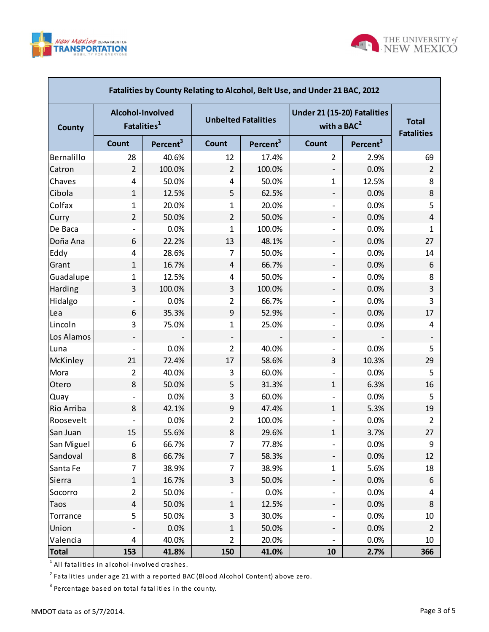

г



| Fatalities by County Relating to Alcohol, Belt Use, and Under 21 BAC, 2012 |                          |                         |                |                            |                                              |                                   |                |  |  |  |  |
|----------------------------------------------------------------------------|--------------------------|-------------------------|----------------|----------------------------|----------------------------------------------|-----------------------------------|----------------|--|--|--|--|
| <b>County</b>                                                              | Alcohol-Involved         | Fatalities <sup>1</sup> |                | <b>Unbelted Fatalities</b> | Under 21 (15-20) Fatalities<br>with a $BAC2$ | <b>Total</b><br><b>Fatalities</b> |                |  |  |  |  |
|                                                                            | <b>Count</b>             | Percent <sup>3</sup>    | Count          | Percent <sup>3</sup>       | <b>Count</b>                                 | Percent <sup>3</sup>              |                |  |  |  |  |
| Bernalillo                                                                 | 28                       | 40.6%                   | 12             | 17.4%                      | $\overline{2}$                               | 2.9%                              | 69             |  |  |  |  |
| Catron                                                                     | $\overline{2}$           | 100.0%                  | $\overline{2}$ | 100.0%                     | -                                            | 0.0%                              | $\overline{2}$ |  |  |  |  |
| Chaves                                                                     | 4                        | 50.0%                   | 4              | 50.0%                      | $\mathbf{1}$                                 | 12.5%                             | 8              |  |  |  |  |
| Cibola                                                                     | $\mathbf{1}$             | 12.5%                   | 5              | 62.5%                      | $\overline{\phantom{a}}$                     | 0.0%                              | 8              |  |  |  |  |
| Colfax                                                                     | 1                        | 20.0%                   | 1              | 20.0%                      |                                              | 0.0%                              | 5              |  |  |  |  |
| Curry                                                                      | $\overline{2}$           | 50.0%                   | $\overline{2}$ | 50.0%                      | -                                            | 0.0%                              | 4              |  |  |  |  |
| De Baca                                                                    | $\overline{\phantom{0}}$ | 0.0%                    | 1              | 100.0%                     | $\overline{\phantom{a}}$                     | 0.0%                              | 1              |  |  |  |  |
| Doña Ana                                                                   | 6                        | 22.2%                   | 13             | 48.1%                      |                                              | 0.0%                              | 27             |  |  |  |  |
| Eddy                                                                       | 4                        | 28.6%                   | 7              | 50.0%                      | $\overline{\phantom{a}}$                     | 0.0%                              | 14             |  |  |  |  |
| Grant                                                                      | $\mathbf{1}$             | 16.7%                   | 4              | 66.7%                      | -                                            | 0.0%                              | 6              |  |  |  |  |
| Guadalupe                                                                  | $\mathbf{1}$             | 12.5%                   | 4              | 50.0%                      | $\overline{\phantom{a}}$                     | 0.0%                              | 8              |  |  |  |  |
| Harding                                                                    | 3                        | 100.0%                  | 3              | 100.0%                     |                                              | 0.0%                              | 3              |  |  |  |  |
| Hidalgo                                                                    |                          | 0.0%                    | 2              | 66.7%                      | $\overline{\phantom{a}}$                     | 0.0%                              | 3              |  |  |  |  |
| Lea                                                                        | 6                        | 35.3%                   | 9              | 52.9%                      | -                                            | 0.0%                              | 17             |  |  |  |  |
| Lincoln                                                                    | 3                        | 75.0%                   | 1              | 25.0%                      | $\overline{\phantom{a}}$                     | 0.0%                              | 4              |  |  |  |  |
| Los Alamos                                                                 |                          |                         |                |                            |                                              |                                   |                |  |  |  |  |
| Luna                                                                       | $\overline{\phantom{a}}$ | 0.0%                    | $\overline{2}$ | 40.0%                      | $\overline{\phantom{a}}$                     | 0.0%                              | 5              |  |  |  |  |
| McKinley                                                                   | 21                       | 72.4%                   | 17             | 58.6%                      | 3                                            | 10.3%                             | 29             |  |  |  |  |
| Mora                                                                       | $\overline{2}$           | 40.0%                   | 3              | 60.0%                      | $\overline{\phantom{a}}$                     | 0.0%                              | 5              |  |  |  |  |
| Otero                                                                      | 8                        | 50.0%                   | 5              | 31.3%                      | $\mathbf{1}$                                 | 6.3%                              | 16             |  |  |  |  |
| Quay                                                                       |                          | 0.0%                    | 3              | 60.0%                      | $\overline{\phantom{a}}$                     | 0.0%                              | 5              |  |  |  |  |
| Rio Arriba                                                                 | 8                        | 42.1%                   | 9              | 47.4%                      | $\mathbf{1}$                                 | 5.3%                              | 19             |  |  |  |  |
| Roosevelt                                                                  |                          | 0.0%                    | $\overline{2}$ | 100.0%                     |                                              | 0.0%                              | $\overline{2}$ |  |  |  |  |
| San Juan                                                                   | 15                       | 55.6%                   | 8              | 29.6%                      | $\mathbf 1$                                  | 3.7%                              | 27             |  |  |  |  |
| San Miguel                                                                 | 6                        | 66.7%                   | 7              | 77.8%                      |                                              | 0.0%                              | 9              |  |  |  |  |
| Sandoval                                                                   | 8                        | 66.7%                   | $\overline{7}$ | 58.3%                      | $\overline{\phantom{0}}$                     | 0.0%                              | 12             |  |  |  |  |
| Santa Fe                                                                   | 7                        | 38.9%                   | 7              | 38.9%                      | $\mathbf{1}$                                 | 5.6%                              | 18             |  |  |  |  |
| Sierra                                                                     | $\mathbf 1$              | 16.7%                   | 3              | 50.0%                      | Ξ.                                           | 0.0%                              | 6              |  |  |  |  |
| Socorro                                                                    | $\overline{2}$           | 50.0%                   |                | 0.0%                       | $\overline{\phantom{a}}$                     | 0.0%                              | 4              |  |  |  |  |
| Taos                                                                       | $\overline{4}$           | 50.0%                   | $\mathbf{1}$   | 12.5%                      |                                              | 0.0%                              | 8              |  |  |  |  |
| Torrance                                                                   | 5                        | 50.0%                   | 3              | 30.0%                      | $\overline{\phantom{a}}$                     | 0.0%                              | 10             |  |  |  |  |
| Union                                                                      |                          | 0.0%                    | $\mathbf{1}$   | 50.0%                      | T,                                           | 0.0%                              | $\overline{2}$ |  |  |  |  |
| Valencia                                                                   | 4                        | 40.0%                   | $\overline{2}$ | 20.0%                      | $\qquad \qquad \blacksquare$                 | 0.0%                              | 10             |  |  |  |  |
| <b>Total</b>                                                               | 153                      | 41.8%                   | 150            | 41.0%                      | 10                                           | 2.7%                              | 366            |  |  |  |  |

 $^{\rm 1}$  All fatalities in alcohol-involved crashes.

 $^{\text{2}}$  Fatalities under age 21 with a reported BAC (Blood Alcohol Content) above zero.

 $^3$  Percentage based on total fatalities in the county.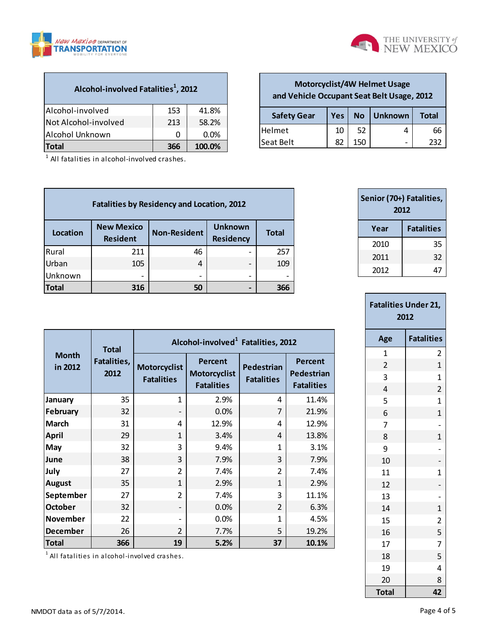



**Safety Gear Yes No Unknown Total**  $|He|met$   $|10|52$  4 66  $\begin{array}{|c|c|c|c|c|c|c|c|} \hline \text{Seat Belt} & \text{82} & 150 & - & 232 \hline \end{array}$ 

**Motorcyclist/4W Helmet Usage and Vehicle Occupant Seat Belt Usage, 2012**

| Alcohol-involved Fatalities <sup>1</sup> , 2012 |     |        |  |  |  |  |  |
|-------------------------------------------------|-----|--------|--|--|--|--|--|
| Alcohol-involved                                | 153 | 41.8%  |  |  |  |  |  |
| Not Alcohol-involved                            | 213 | 58.2%  |  |  |  |  |  |
| Alcohol Unknown<br>$0.0\%$<br>ი                 |     |        |  |  |  |  |  |
| <b>Total</b>                                    | 366 | 100.0% |  |  |  |  |  |

<sup>1</sup> All fatalities in alcohol-involved crashes.

| <b>Fatalities by Residency and Location, 2012</b> |                                      |                     |                                    |              |  |  |  |  |  |  |
|---------------------------------------------------|--------------------------------------|---------------------|------------------------------------|--------------|--|--|--|--|--|--|
| <b>Location</b>                                   | <b>New Mexico</b><br><b>Resident</b> | <b>Non-Resident</b> | <b>Unknown</b><br><b>Residency</b> | <b>Total</b> |  |  |  |  |  |  |
| Rural                                             | 211                                  | 46                  |                                    | 257          |  |  |  |  |  |  |
| Urban                                             | 105                                  | 4                   | $\overline{\phantom{0}}$           | 109          |  |  |  |  |  |  |
| Unknown                                           |                                      |                     | -                                  |              |  |  |  |  |  |  |
| <b>Total</b>                                      | 316                                  | 50                  |                                    | 366          |  |  |  |  |  |  |

| Senior (70+) Fatalities,<br>2012 |                   |  |  |  |  |  |  |
|----------------------------------|-------------------|--|--|--|--|--|--|
| Year                             | <b>Fatalities</b> |  |  |  |  |  |  |
| 2010                             | 35                |  |  |  |  |  |  |
| 2011                             | 32                |  |  |  |  |  |  |
| 2012                             |                   |  |  |  |  |  |  |

| <b>Fatalities Under 21,</b><br>2012 |                   |  |  |  |  |  |
|-------------------------------------|-------------------|--|--|--|--|--|
| Age                                 | <b>Fatalities</b> |  |  |  |  |  |
| $\overline{1}$                      | 2                 |  |  |  |  |  |
| $\overline{c}$                      | $\mathbf{1}$      |  |  |  |  |  |
| 3                                   | $\mathbf 1$       |  |  |  |  |  |
| 4                                   | $\overline{c}$    |  |  |  |  |  |
| 5                                   | $\mathbf 1$       |  |  |  |  |  |
| 6                                   | $\mathbf{1}$      |  |  |  |  |  |
| $\overline{7}$                      | $\overline{a}$    |  |  |  |  |  |
| 8                                   | $\mathbf{1}$      |  |  |  |  |  |
| 9                                   | $\overline{a}$    |  |  |  |  |  |
| 10                                  | $\overline{a}$    |  |  |  |  |  |
| 11                                  | $\mathbf 1$       |  |  |  |  |  |
| 12                                  | $\overline{a}$    |  |  |  |  |  |
| 13                                  | $\overline{a}$    |  |  |  |  |  |
| 14                                  | $\mathbf{1}$      |  |  |  |  |  |
| 15                                  | $\overline{2}$    |  |  |  |  |  |
| 16                                  | 5                 |  |  |  |  |  |
| 17                                  | 7                 |  |  |  |  |  |
| 18                                  | 5                 |  |  |  |  |  |
| 19                                  | 4                 |  |  |  |  |  |
| 20                                  | 8                 |  |  |  |  |  |
| Total                               | 42                |  |  |  |  |  |

|                         | <b>Total</b>        |                                          | Alcohol-involved <sup>1</sup> Fatalities, 2012      |                                 |                                                   |  |  |  |  |  |  |
|-------------------------|---------------------|------------------------------------------|-----------------------------------------------------|---------------------------------|---------------------------------------------------|--|--|--|--|--|--|
| <b>Month</b><br>in 2012 | Fatalities,<br>2012 | <b>Motorcyclist</b><br><b>Fatalities</b> | Percent<br><b>Motorcyclist</b><br><b>Fatalities</b> | Pedestrian<br><b>Fatalities</b> | <b>Percent</b><br>Pedestrian<br><b>Fatalities</b> |  |  |  |  |  |  |
| January                 | 35                  | 1                                        | 2.9%                                                | 4                               | 11.4%                                             |  |  |  |  |  |  |
| February                | 32                  | $\overline{\phantom{0}}$                 | 0.0%                                                | 7                               | 21.9%                                             |  |  |  |  |  |  |
| March                   | 31                  | 4                                        | 12.9%                                               | 4                               | 12.9%                                             |  |  |  |  |  |  |
| <b>April</b>            | 29                  | $\mathbf{1}$                             | 3.4%                                                | 4                               | 13.8%                                             |  |  |  |  |  |  |
| May                     | 32                  | 3                                        | 9.4%                                                | 1                               | 3.1%                                              |  |  |  |  |  |  |
| June                    | 38                  | 3                                        | 7.9%                                                | 3                               | 7.9%                                              |  |  |  |  |  |  |
| July                    | 27                  | $\overline{2}$                           | 7.4%                                                | $\overline{2}$                  | 7.4%                                              |  |  |  |  |  |  |
| <b>August</b>           | 35                  | $\overline{1}$                           | 2.9%                                                | 1                               | 2.9%                                              |  |  |  |  |  |  |
| September               | 27                  | $\overline{2}$                           | 7.4%                                                | 3                               | 11.1%                                             |  |  |  |  |  |  |
| October                 | 32                  |                                          | 0.0%                                                | $\overline{2}$                  | 6.3%                                              |  |  |  |  |  |  |
| November                | 22                  |                                          | 0.0%                                                | 1                               | 4.5%                                              |  |  |  |  |  |  |
| December                | 26                  | $\overline{2}$                           | 7.7%                                                | 5                               | 19.2%                                             |  |  |  |  |  |  |
| Total                   | 366                 | 19                                       | 5.2%                                                | 37                              | 10.1%                                             |  |  |  |  |  |  |

 $^{\rm 1}$  All fatalities in alcohol-involved crashes.